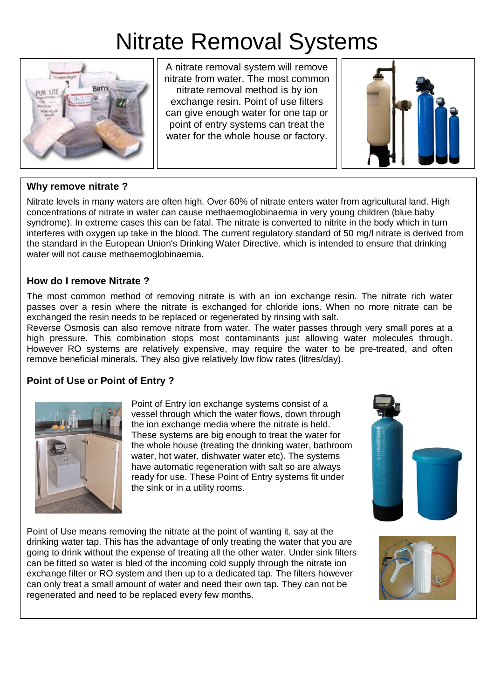# Nitrate Removal Systems



A nitrate removal system will remove nitrate from water. The most common nitrate removal method is by ion exchange resin. Point of use filters can give enough water for one tap or point of entry systems can treat the water for the whole house or factory.



## **Why remove nitrate ?**

Nitrate levels in many waters are often high. Over 60% of nitrate enters water from agricultural land. High concentrations of nitrate in water can cause methaemoglobinaemia in very young children (blue baby syndrome). In extreme cases this can be fatal. The nitrate is converted to nitrite in the body which in turn interferes with oxygen up take in the blood. The current regulatory standard of 50 mg/l nitrate is derived from the standard in the European Union's Drinking Water Directive. which is intended to ensure that drinking water will not cause methaemoglobinaemia.

## **How do I remove Nitrate ?**

The most common method of removing nitrate is with an ion exchange resin. The nitrate rich water passes over a resin where the nitrate is exchanged for chloride ions. When no more nitrate can be exchanged the resin needs to be replaced or regenerated by rinsing with salt.

Reverse Osmosis can also remove nitrate from water. The water passes through very small pores at a high pressure. This combination stops most contaminants just allowing water molecules through. However RO systems are relatively expensive, may require the water to be pre-treated, and often remove beneficial minerals. They also give relatively low flow rates (litres/day).

# **Point of Use or Point of Entry ?**



Point of Entry ion exchange systems consist of a vessel through which the water flows, down through the ion exchange media where the nitrate is held. These systems are big enough to treat the water for the whole house (treating the drinking water, bathroom water, hot water, dishwater water etc). The systems have automatic regeneration with salt so are always ready for use. These Point of Entry systems fit under the sink or in a utility rooms.



Point of Use means removing the nitrate at the point of wanting it, say at the drinking water tap. This has the advantage of only treating the water that you are going to drink without the expense of treating all the other water. Under sink filters can be fitted so water is bled of the incoming cold supply through the nitrate ion exchange filter or RO system and then up to a dedicated tap. The filters however can only treat a small amount of water and need their own tap. They can not be regenerated and need to be replaced every few months.